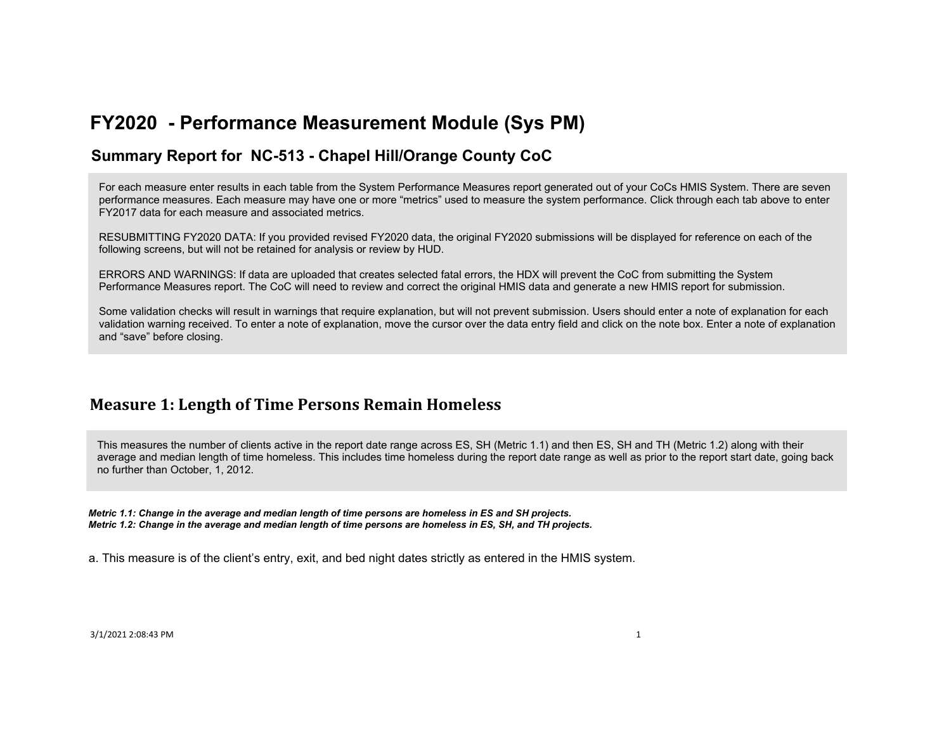### **Summary Report for NC-513 - Chapel Hill/Orange County CoC**

For each measure enter results in each table from the System Performance Measures report generated out of your CoCs HMIS System. There are seven performance measures. Each measure may have one or more "metrics" used to measure the system performance. Click through each tab above to enter FY2017 data for each measure and associated metrics.

RESUBMITTING FY2020 DATA: If you provided revised FY2020 data, the original FY2020 submissions will be displayed for reference on each of the following screens, but will not be retained for analysis or review by HUD.

ERRORS AND WARNINGS: If data are uploaded that creates selected fatal errors, the HDX will prevent the CoC from submitting the System Performance Measures report. The CoC will need to review and correct the original HMIS data and generate a new HMIS report for submission.

Some validation checks will result in warnings that require explanation, but will not prevent submission. Users should enter a note of explanation for each validation warning received. To enter a note of explanation, move the cursor over the data entry field and click on the note box. Enter a note of explanation and "save" before closing.

## **Measure 1: Length of Time Persons Remain Homeless**

This measures the number of clients active in the report date range across ES, SH (Metric 1.1) and then ES, SH and TH (Metric 1.2) along with their average and median length of time homeless. This includes time homeless during the report date range as well as prior to the report start date, going back no further than October, 1, 2012.

*Metric 1.1: Change in the average and median length of time persons are homeless in ES and SH projects. Metric 1.2: Change in the average and median length of time persons are homeless in ES, SH, and TH projects.*

a. This measure is of the client's entry, exit, and bed night dates strictly as entered in the HMIS system.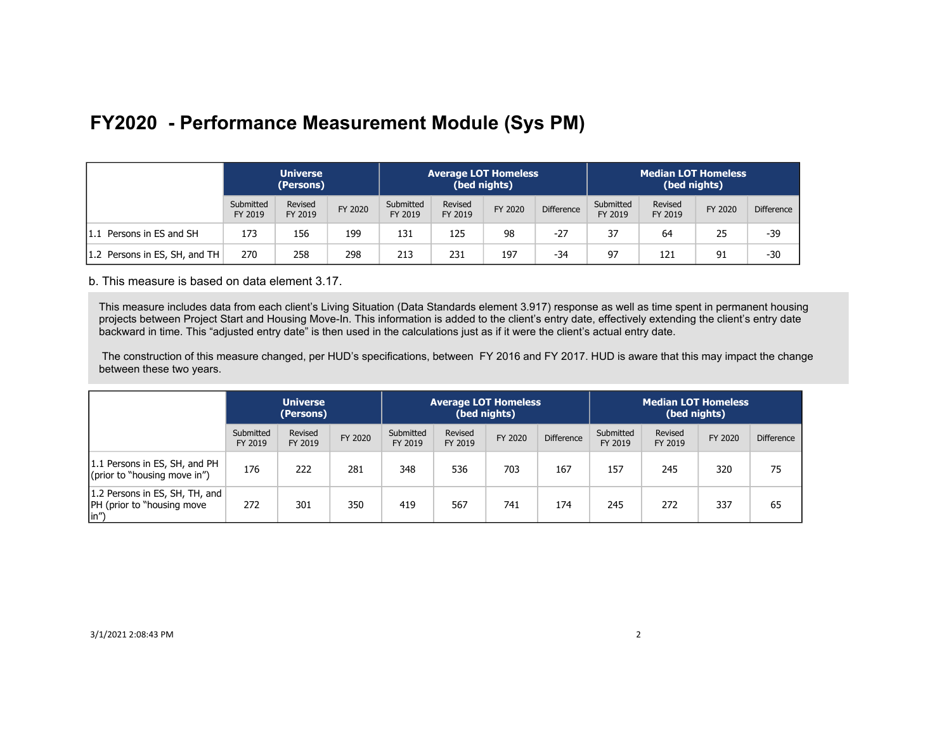|                               | <b>Universe</b><br>(Persons) |                    |         |                      | <b>Average LOT Homeless</b> | (bed nights) |                   | <b>Median LOT Homeless</b><br>(bed nights) |                    |         |                   |
|-------------------------------|------------------------------|--------------------|---------|----------------------|-----------------------------|--------------|-------------------|--------------------------------------------|--------------------|---------|-------------------|
|                               | Submitted<br>FY 2019         | Revised<br>FY 2019 | FY 2020 | Submitted<br>FY 2019 | Revised<br>FY 2019          | FY 2020      | <b>Difference</b> | Submitted<br>FY 2019                       | Revised<br>FY 2019 | FY 2020 | <b>Difference</b> |
| 1.1 Persons in ES and SH      | 173                          | 156                | 199     | 131                  | 125                         | 98           | $-27$             | 37                                         | 64                 | 25      | -39               |
| 1.2 Persons in ES, SH, and TH | 270                          | 258                | 298     | 213                  | 231                         | 197          | $-34$             | 97                                         | 121                | 91      | $-30$             |

b. This measure is based on data element 3.17.

This measure includes data from each client's Living Situation (Data Standards element 3.917) response as well as time spent in permanent housing projects between Project Start and Housing Move-In. This information is added to the client's entry date, effectively extending the client's entry date backward in time. This "adjusted entry date" is then used in the calculations just as if it were the client's actual entry date.

 The construction of this measure changed, per HUD's specifications, between FY 2016 and FY 2017. HUD is aware that this may impact the change between these two years.

|                                                                                     | <b>Universe</b><br>(Persons) |                    |         |                      | <b>Average LOT Homeless</b> | (bed nights) |                   | <b>Median LOT Homeless</b><br>(bed nights) |                    |         |                   |
|-------------------------------------------------------------------------------------|------------------------------|--------------------|---------|----------------------|-----------------------------|--------------|-------------------|--------------------------------------------|--------------------|---------|-------------------|
|                                                                                     | Submitted<br>FY 2019         | Revised<br>FY 2019 | FY 2020 | Submitted<br>FY 2019 | Revised<br>FY 2019          | FY 2020      | <b>Difference</b> | Submitted<br>FY 2019                       | Revised<br>FY 2019 | FY 2020 | <b>Difference</b> |
| 1.1 Persons in ES, SH, and PH<br>(prior to "housing move in")                       | 176                          | 222                | 281     | 348                  | 536                         | 703          | 167               | 157                                        | 245                | 320     | 75                |
| 1.2 Persons in ES, SH, TH, and<br><b>PH</b> (prior to "housing move<br>$\vert$ in") | 272                          | 301                | 350     | 419                  | 567                         | 741          | 174               | 245                                        | 272                | 337     | 65                |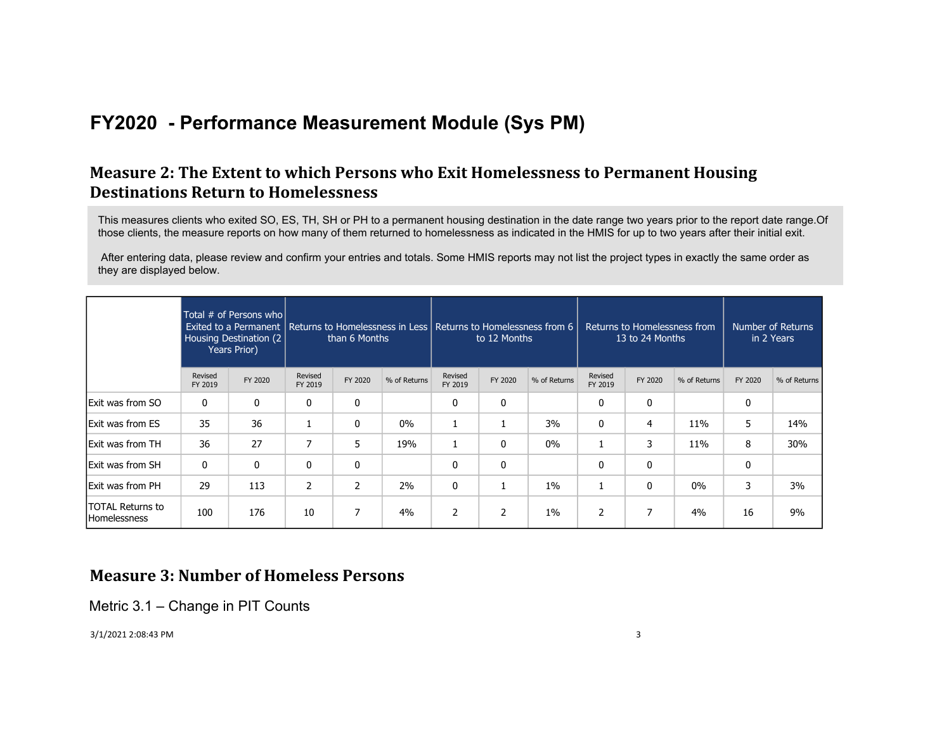## **Measure 2: The Extent to which Persons who Exit Homelessness to Permanent Housing Destinations Return to Homelessness**

This measures clients who exited SO, ES, TH, SH or PH to a permanent housing destination in the date range two years prior to the report date range.Of those clients, the measure reports on how many of them returned to homelessness as indicated in the HMIS for up to two years after their initial exit.

 After entering data, please review and confirm your entries and totals. Some HMIS reports may not list the project types in exactly the same order as they are displayed below.

|                                                |                    | Total # of Persons who<br>Exited to a Permanent   Returns to Homelessness in Less   Returns to Homelessness from 6<br>Housing Destination (2)<br>Years Prior) |                    | than 6 Months  |              |                    | to 12 Months |              | Returns to Homelessness from<br>13 to 24 Months |              | Number of Returns<br>in 2 Years |         |              |
|------------------------------------------------|--------------------|---------------------------------------------------------------------------------------------------------------------------------------------------------------|--------------------|----------------|--------------|--------------------|--------------|--------------|-------------------------------------------------|--------------|---------------------------------|---------|--------------|
|                                                | Revised<br>FY 2019 | FY 2020                                                                                                                                                       | Revised<br>FY 2019 | FY 2020        | % of Returns | Revised<br>FY 2019 | FY 2020      | % of Returns | Revised<br>FY 2019                              | FY 2020      | % of Returns                    | FY 2020 | % of Returns |
| <b>Exit was from SO</b>                        | 0                  | 0                                                                                                                                                             | 0                  | 0              |              | 0                  | 0            |              | 0                                               | 0            |                                 | 0       |              |
| Exit was from ES                               | 35                 | 36                                                                                                                                                            |                    | $\mathbf{0}$   | 0%           |                    |              | 3%           | 0                                               | 4            | 11%                             | 5       | 14%          |
| <b>Exit was from TH</b>                        | 36                 | 27                                                                                                                                                            | 7                  | 5              | 19%          | 1                  | 0            | $0\%$        | 1                                               | 3            | 11%                             | 8       | 30%          |
| <b>Exit was from SH</b>                        | 0                  | $\mathbf{0}$                                                                                                                                                  | $\mathbf{0}$       | 0              |              | 0                  | 0            |              | 0                                               | 0            |                                 | 0       |              |
| Exit was from PH                               | 29                 | 113                                                                                                                                                           | $\overline{2}$     | $\overline{2}$ | 2%           | 0                  |              | 1%           | 1                                               | $\mathbf{0}$ | 0%                              | 3       | 3%           |
| <b>TOTAL Returns to</b><br><b>Homelessness</b> | 100                | 176                                                                                                                                                           | 10                 | 7              | 4%           | 2                  | 2            | $1\%$        | 2                                               | 7            | 4%                              | 16      | 9%           |

### **Measure 3: Number of Homeless Persons**

Metric 3.1 – Change in PIT Counts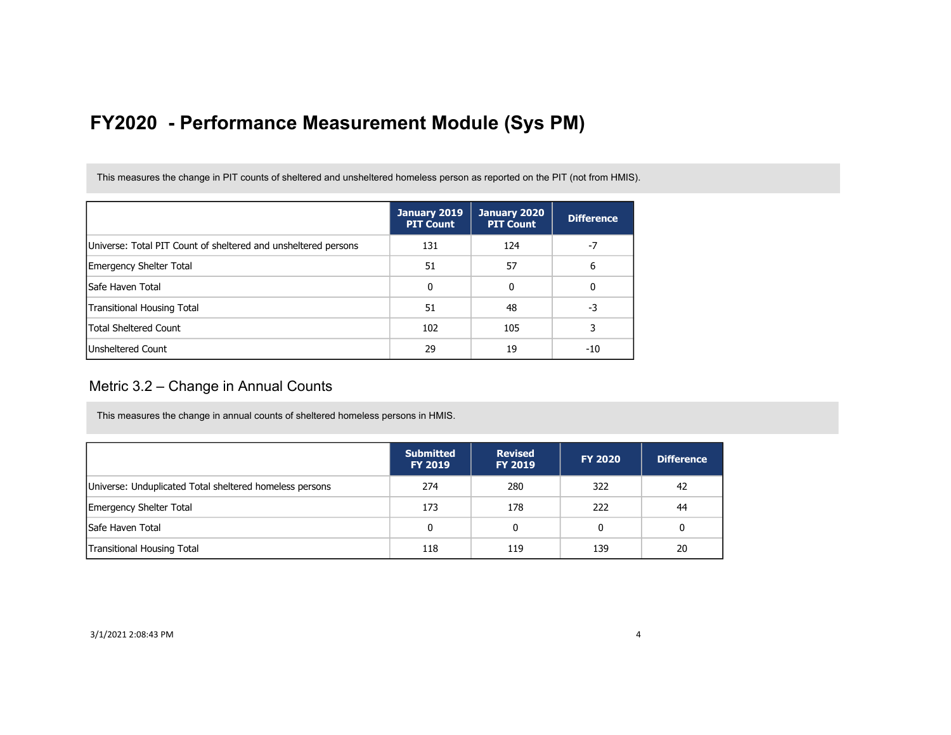This measures the change in PIT counts of sheltered and unsheltered homeless person as reported on the PIT (not from HMIS).

|                                                                | January 2019<br><b>PIT Count</b> | January 2020<br><b>PIT Count</b> | <b>Difference</b> |
|----------------------------------------------------------------|----------------------------------|----------------------------------|-------------------|
| Universe: Total PIT Count of sheltered and unsheltered persons | 131                              | 124                              |                   |
| Emergency Shelter Total                                        | 51                               | 57                               | 6                 |
| lSafe Haven Total                                              | 0                                | 0                                | 0                 |
| Transitional Housing Total                                     | 51                               | 48                               | -3                |
| <b>Total Sheltered Count</b>                                   | 102                              | 105                              |                   |
| Unsheltered Count                                              | 29                               | 19                               | -10               |

#### Metric 3.2 – Change in Annual Counts

This measures the change in annual counts of sheltered homeless persons in HMIS.

|                                                         | <b>Submitted</b><br><b>FY 2019</b> | <b>Revised</b><br><b>FY 2019</b> | <b>FY 2020</b> | <b>Difference</b> |
|---------------------------------------------------------|------------------------------------|----------------------------------|----------------|-------------------|
| Universe: Unduplicated Total sheltered homeless persons | 274                                | 280                              | 322            | 42                |
| <b>Emergency Shelter Total</b>                          | 173                                | 178                              | 222            | 44                |
| <b>Safe Haven Total</b>                                 | 0                                  | 0                                | 0              | 0                 |
| <b>Transitional Housing Total</b>                       | 118                                | 119                              | 139            | 20                |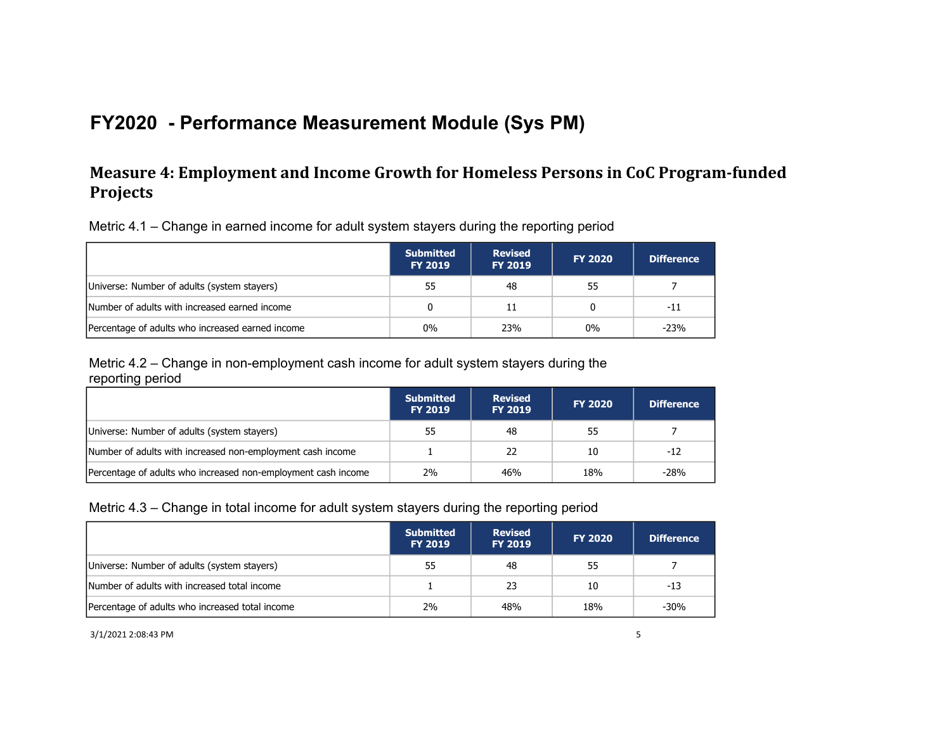## **Measure 4: Employment and Income Growth for Homeless Persons in CoC Program-funded Projects**

Metric 4.1 – Change in earned income for adult system stayers during the reporting period

|                                                  | <b>Submitted</b><br><b>FY 2019</b> | <b>Revised</b><br><b>FY 2019</b> | <b>FY 2020</b> | <b>Difference</b> |
|--------------------------------------------------|------------------------------------|----------------------------------|----------------|-------------------|
| Universe: Number of adults (system stayers)      | 55                                 | 48                               | 55             |                   |
| Number of adults with increased earned income    |                                    | 11                               | 0              | -11               |
| Percentage of adults who increased earned income | $0\%$                              | 23%                              | $0\%$          | $-23%$            |

Metric 4.2 – Change in non-employment cash income for adult system stayers during the reporting period

|                                                               | <b>Submitted</b><br><b>FY 2019</b> | <b>Revised</b><br><b>FY 2019</b> | <b>FY 2020</b> | <b>Difference</b> |
|---------------------------------------------------------------|------------------------------------|----------------------------------|----------------|-------------------|
| Universe: Number of adults (system stayers)                   | 55                                 | 48                               | 55             |                   |
| Number of adults with increased non-employment cash income    |                                    | 22                               | 10             | $-12$             |
| Percentage of adults who increased non-employment cash income | 2%                                 | 46%                              | 18%            | $-28%$            |

#### Metric 4.3 – Change in total income for adult system stayers during the reporting period

|                                                 | <b>Submitted</b><br><b>FY 2019</b> | <b>Revised</b><br><b>FY 2019</b> | <b>FY 2020</b> | <b>Difference</b> |
|-------------------------------------------------|------------------------------------|----------------------------------|----------------|-------------------|
| Universe: Number of adults (system stayers)     | 55                                 | -48                              | 55             |                   |
| Number of adults with increased total income    |                                    | -23                              | 10             | -13               |
| Percentage of adults who increased total income | 2%                                 | 48%                              | 18%            | $-30%$            |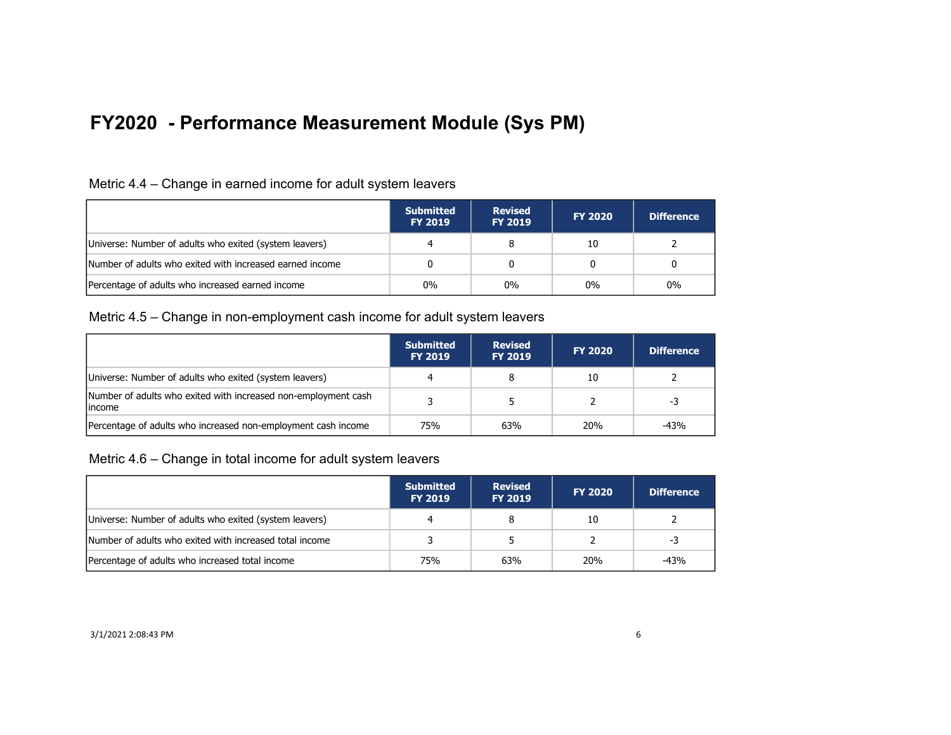| Metric 4.4 – Change in earned income for adult system leavers |  |  |  |
|---------------------------------------------------------------|--|--|--|
|                                                               |  |  |  |

|                                                          | <b>Submitted</b><br><b>FY 2019</b> | <b>Revised</b><br><b>FY 2019</b> | <b>FY 2020</b> | <b>Difference</b> |
|----------------------------------------------------------|------------------------------------|----------------------------------|----------------|-------------------|
| Universe: Number of adults who exited (system leavers)   |                                    |                                  | 10             |                   |
| Number of adults who exited with increased earned income |                                    |                                  |                |                   |
| Percentage of adults who increased earned income         | $0\%$                              | $0\%$                            | $0\%$          | $0\%$             |

#### Metric 4.5 – Change in non-employment cash income for adult system leavers

|                                                                           | <b>Submitted</b><br><b>FY 2019</b> | <b>Revised</b><br><b>FY 2019</b> | <b>FY 2020</b> | <b>Difference</b> |
|---------------------------------------------------------------------------|------------------------------------|----------------------------------|----------------|-------------------|
| Universe: Number of adults who exited (system leavers)                    |                                    |                                  | 10             |                   |
| Number of adults who exited with increased non-employment cash<br>lincome |                                    |                                  |                | -3                |
| Percentage of adults who increased non-employment cash income             | 75%                                | 63%                              | <b>20%</b>     | $-43%$            |

Metric 4.6 – Change in total income for adult system leavers

|                                                         | <b>Submitted</b><br><b>FY 2019</b> | <b>Revised</b><br><b>FY 2019</b> | <b>FY 2020</b> | <b>Difference</b> |
|---------------------------------------------------------|------------------------------------|----------------------------------|----------------|-------------------|
| Universe: Number of adults who exited (system leavers)  |                                    |                                  | 10             |                   |
| Number of adults who exited with increased total income |                                    |                                  |                | -3                |
| Percentage of adults who increased total income         | 75%                                | 63%                              | 20%            | -43%              |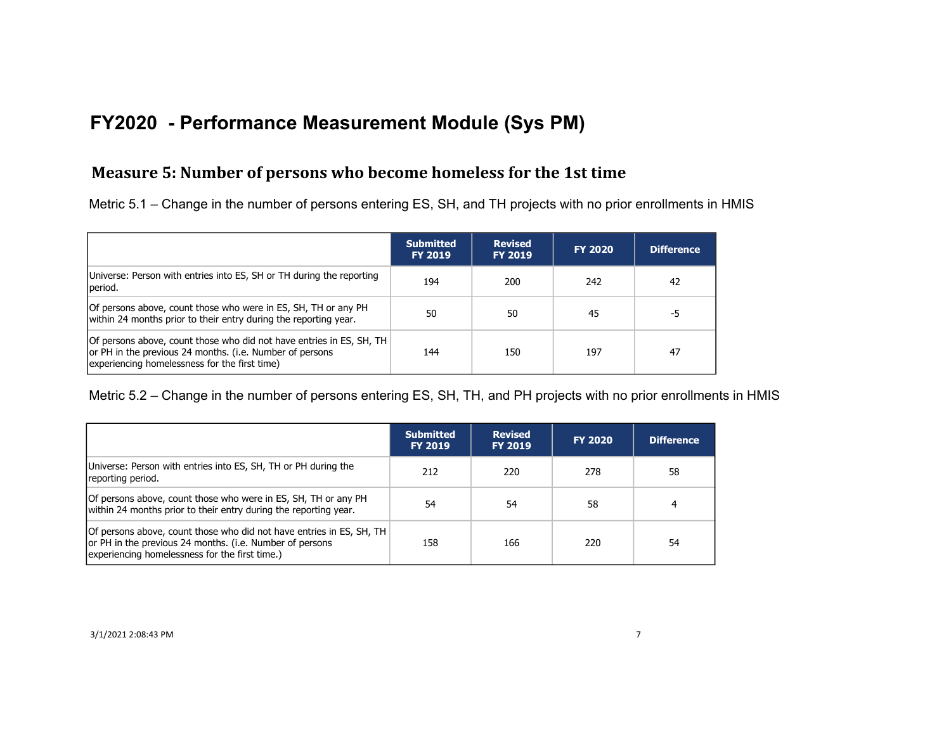## **Measure 5: Number of persons who become homeless for the 1st time**

Metric 5.1 – Change in the number of persons entering ES, SH, and TH projects with no prior enrollments in HMIS

|                                                                                                                                                                                   | <b>Submitted</b><br><b>FY 2019</b> | <b>Revised</b><br><b>FY 2019</b> | <b>FY 2020</b> | <b>Difference</b> |
|-----------------------------------------------------------------------------------------------------------------------------------------------------------------------------------|------------------------------------|----------------------------------|----------------|-------------------|
| Universe: Person with entries into ES, SH or TH during the reporting<br>period.                                                                                                   | 194                                | 200                              | 242            | 42                |
| Of persons above, count those who were in ES, SH, TH or any PH<br>within 24 months prior to their entry during the reporting year.                                                | 50                                 | 50                               | 45             | -5                |
| Of persons above, count those who did not have entries in ES, SH, TH<br>or PH in the previous 24 months. (i.e. Number of persons<br>experiencing homelessness for the first time) | 144                                | 150                              | 197            | 47                |

Metric 5.2 – Change in the number of persons entering ES, SH, TH, and PH projects with no prior enrollments in HMIS

|                                                                                                                                                                                    | <b>Submitted</b><br><b>FY 2019</b> | <b>Revised</b><br><b>FY 2019</b> | <b>FY 2020</b> | Difference |
|------------------------------------------------------------------------------------------------------------------------------------------------------------------------------------|------------------------------------|----------------------------------|----------------|------------|
| Universe: Person with entries into ES, SH, TH or PH during the<br>reporting period.                                                                                                | 212                                | 220                              | 278            | 58         |
| Of persons above, count those who were in ES, SH, TH or any PH<br>within 24 months prior to their entry during the reporting year.                                                 | 54                                 | 54                               | 58             | 4          |
| Of persons above, count those who did not have entries in ES, SH, TH<br>or PH in the previous 24 months. (i.e. Number of persons<br>experiencing homelessness for the first time.) | 158                                | 166                              | 220            | 54         |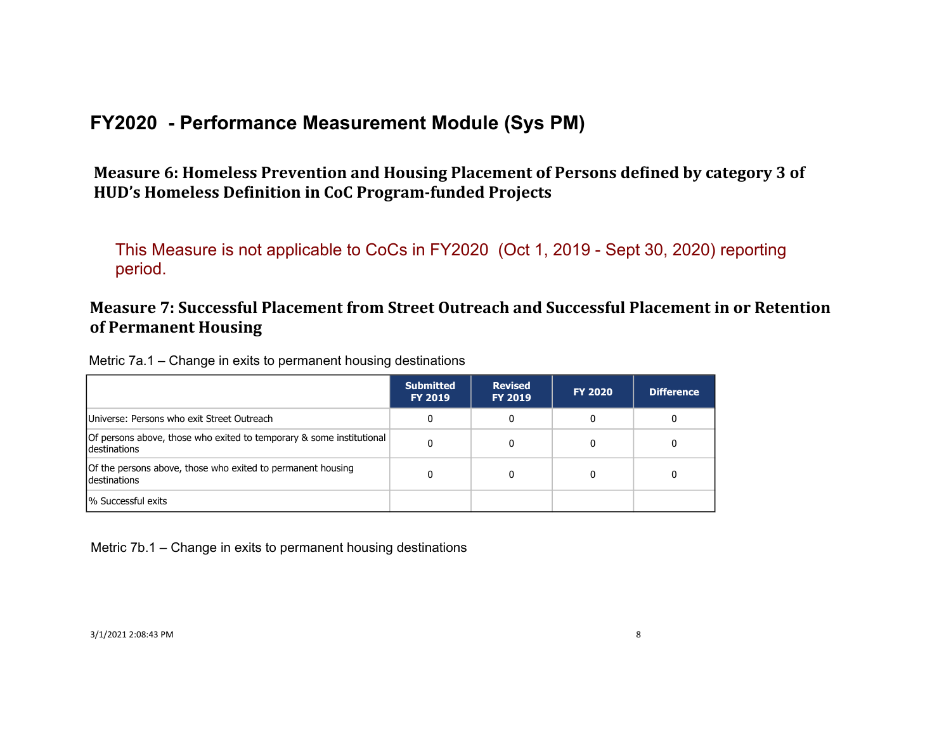Measure 6: Homeless Prevention and Housing Placement of Persons defined by category 3 of HUD's Homeless Definition in CoC Program-funded Projects

This Measure is not applicable to CoCs in FY2020 (Oct 1, 2019 - Sept 30, 2020) reporting period.

## **Measure 7: Successful Placement from Street Outreach and Successful Placement in or Retention of Permanent Housing**

Metric 7a.1 – Change in exits to permanent housing destinations

|                                                                                             | <b>Submitted</b><br><b>FY 2019</b> | <b>Revised</b><br><b>FY 2019</b> | <b>FY 2020</b> | <b>Difference</b> |
|---------------------------------------------------------------------------------------------|------------------------------------|----------------------------------|----------------|-------------------|
| Universe: Persons who exit Street Outreach                                                  |                                    |                                  |                | 0                 |
| Of persons above, those who exited to temporary & some institutional<br><b>destinations</b> |                                    |                                  |                |                   |
| Of the persons above, those who exited to permanent housing<br>destinations                 |                                    |                                  |                |                   |
| 1% Successful exits                                                                         |                                    |                                  |                |                   |

Metric 7b.1 – Change in exits to permanent housing destinations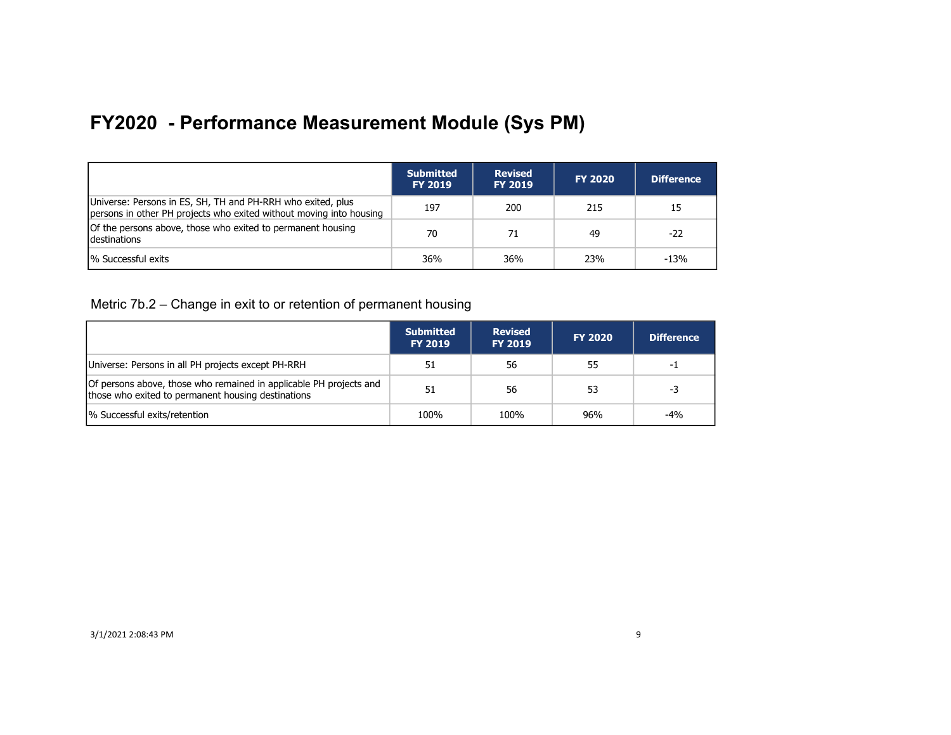|                                                                                                                                    | <b>Submitted</b><br><b>FY 2019</b> | <b>Revised</b><br><b>FY 2019</b> | <b>FY 2020</b> | <b>Difference</b> |
|------------------------------------------------------------------------------------------------------------------------------------|------------------------------------|----------------------------------|----------------|-------------------|
| Universe: Persons in ES, SH, TH and PH-RRH who exited, plus<br>persons in other PH projects who exited without moving into housing | 197                                | 200                              | 215            | 15                |
| Of the persons above, those who exited to permanent housing<br><b>Idestinations</b>                                                | 70                                 | 71                               | 49             | -22               |
| % Successful exits                                                                                                                 | 36%                                | 36%                              | 23%            | $-13%$            |

Metric 7b.2 – Change in exit to or retention of permanent housing

|                                                                                                                          | <b>Submitted</b><br><b>FY 2019</b> | <b>Revised</b><br><b>FY 2019</b> | <b>FY 2020</b> | Difference |
|--------------------------------------------------------------------------------------------------------------------------|------------------------------------|----------------------------------|----------------|------------|
| Universe: Persons in all PH projects except PH-RRH                                                                       |                                    | 56                               | 55             | -1         |
| Of persons above, those who remained in applicable PH projects and<br>those who exited to permanent housing destinations | 51                                 | 56                               | 53             | -3         |
| % Successful exits/retention                                                                                             | 100%                               | 100%                             | 96%            | $-4%$      |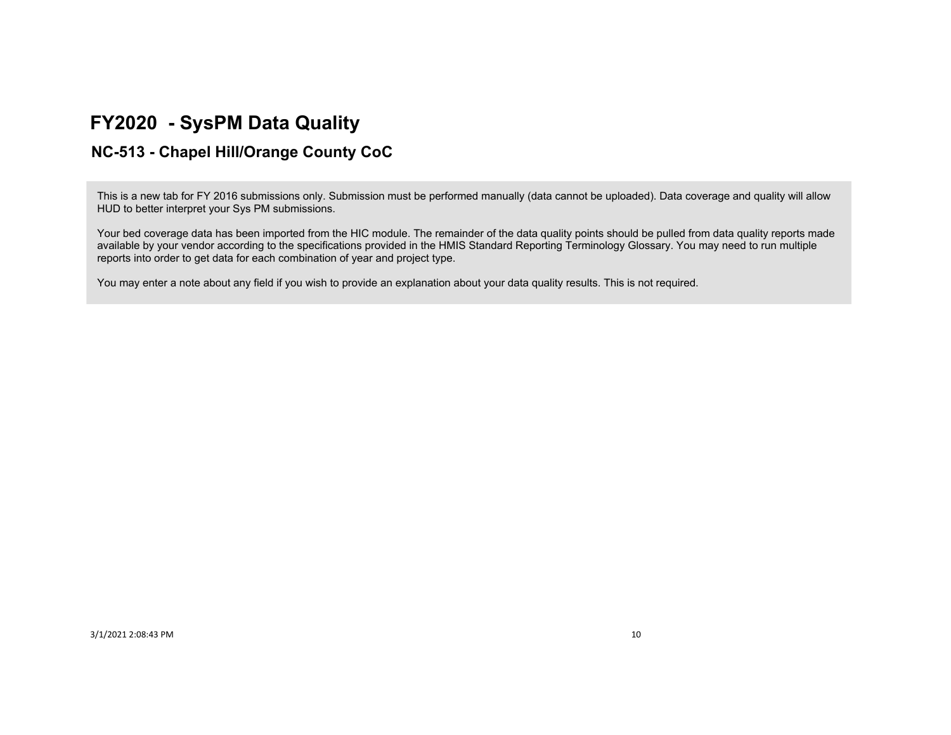## **FY2020 - SysPM Data Quality**

## **NC-513 - Chapel Hill/Orange County CoC**

This is a new tab for FY 2016 submissions only. Submission must be performed manually (data cannot be uploaded). Data coverage and quality will allow HUD to better interpret your Sys PM submissions.

Your bed coverage data has been imported from the HIC module. The remainder of the data quality points should be pulled from data quality reports made available by your vendor according to the specifications provided in the HMIS Standard Reporting Terminology Glossary. You may need to run multiple reports into order to get data for each combination of year and project type.

You may enter a note about any field if you wish to provide an explanation about your data quality results. This is not required.